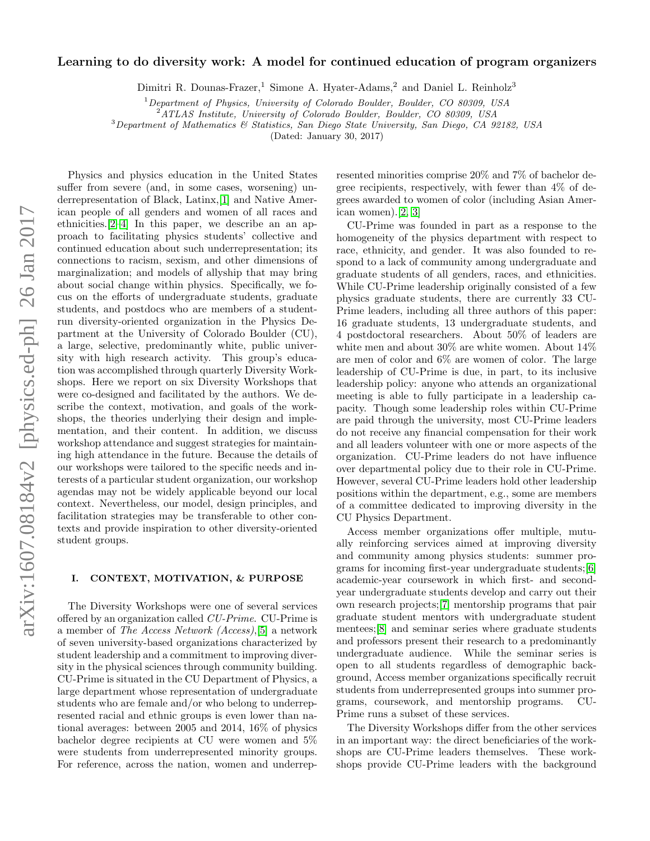# Learning to do diversity work: A model for continued education of program organizers

Dimitri R. Dounas-Frazer,<sup>1</sup> Simone A. Hyater-Adams,<sup>2</sup> and Daniel L. Reinholz<sup>3</sup>

 $1$  Department of Physics, University of Colorado Boulder, Boulder, CO 80309, USA

 $^{2}$ ATLAS Institute, University of Colorado Boulder, Boulder, CO 80309, USA

<sup>3</sup>Department of Mathematics & Statistics, San Diego State University, San Diego, CA 92182, USA

(Dated: January 30, 2017)

Physics and physics education in the United States suffer from severe (and, in some cases, worsening) underrepresentation of Black, Latinx,[\[1\]](#page-4-0) and Native American people of all genders and women of all races and ethnicities.[\[2–](#page-4-1)[4\]](#page-4-2) In this paper, we describe an an approach to facilitating physics students' collective and continued education about such underrepresentation; its connections to racism, sexism, and other dimensions of marginalization; and models of allyship that may bring about social change within physics. Specifically, we focus on the efforts of undergraduate students, graduate students, and postdocs who are members of a studentrun diversity-oriented organization in the Physics Department at the University of Colorado Boulder (CU), a large, selective, predominantly white, public university with high research activity. This group's education was accomplished through quarterly Diversity Workshops. Here we report on six Diversity Workshops that were co-designed and facilitated by the authors. We describe the context, motivation, and goals of the workshops, the theories underlying their design and implementation, and their content. In addition, we discuss workshop attendance and suggest strategies for maintaining high attendance in the future. Because the details of our workshops were tailored to the specific needs and interests of a particular student organization, our workshop agendas may not be widely applicable beyond our local context. Nevertheless, our model, design principles, and facilitation strategies may be transferable to other contexts and provide inspiration to other diversity-oriented student groups.

### I. CONTEXT, MOTIVATION, & PURPOSE

The Diversity Workshops were one of several services offered by an organization called CU-Prime. CU-Prime is a member of The Access Network (Access),[\[5\]](#page-4-3) a network of seven university-based organizations characterized by student leadership and a commitment to improving diversity in the physical sciences through community building. CU-Prime is situated in the CU Department of Physics, a large department whose representation of undergraduate students who are female and/or who belong to underrepresented racial and ethnic groups is even lower than national averages: between 2005 and 2014, 16% of physics bachelor degree recipients at CU were women and 5% were students from underrepresented minority groups. For reference, across the nation, women and underrepresented minorities comprise 20% and 7% of bachelor degree recipients, respectively, with fewer than 4% of degrees awarded to women of color (including Asian American women).[\[2,](#page-4-1) [3\]](#page-4-4)

CU-Prime was founded in part as a response to the homogeneity of the physics department with respect to race, ethnicity, and gender. It was also founded to respond to a lack of community among undergraduate and graduate students of all genders, races, and ethnicities. While CU-Prime leadership originally consisted of a few physics graduate students, there are currently 33 CU-Prime leaders, including all three authors of this paper: 16 graduate students, 13 undergraduate students, and 4 postdoctoral researchers. About 50% of leaders are white men and about 30% are white women. About 14% are men of color and 6% are women of color. The large leadership of CU-Prime is due, in part, to its inclusive leadership policy: anyone who attends an organizational meeting is able to fully participate in a leadership capacity. Though some leadership roles within CU-Prime are paid through the university, most CU-Prime leaders do not receive any financial compensation for their work and all leaders volunteer with one or more aspects of the organization. CU-Prime leaders do not have influence over departmental policy due to their role in CU-Prime. However, several CU-Prime leaders hold other leadership positions within the department, e.g., some are members of a committee dedicated to improving diversity in the CU Physics Department.

Access member organizations offer multiple, mutually reinforcing services aimed at improving diversity and community among physics students: summer programs for incoming first-year undergraduate students;[\[6\]](#page-4-5) academic-year coursework in which first- and secondyear undergraduate students develop and carry out their own research projects;[\[7\]](#page-4-6) mentorship programs that pair graduate student mentors with undergraduate student mentees;[\[8\]](#page-5-0) and seminar series where graduate students and professors present their research to a predominantly undergraduate audience. While the seminar series is open to all students regardless of demographic background, Access member organizations specifically recruit students from underrepresented groups into summer programs, coursework, and mentorship programs. CU-Prime runs a subset of these services.

The Diversity Workshops differ from the other services in an important way: the direct beneficiaries of the workshops are CU-Prime leaders themselves. These workshops provide CU-Prime leaders with the background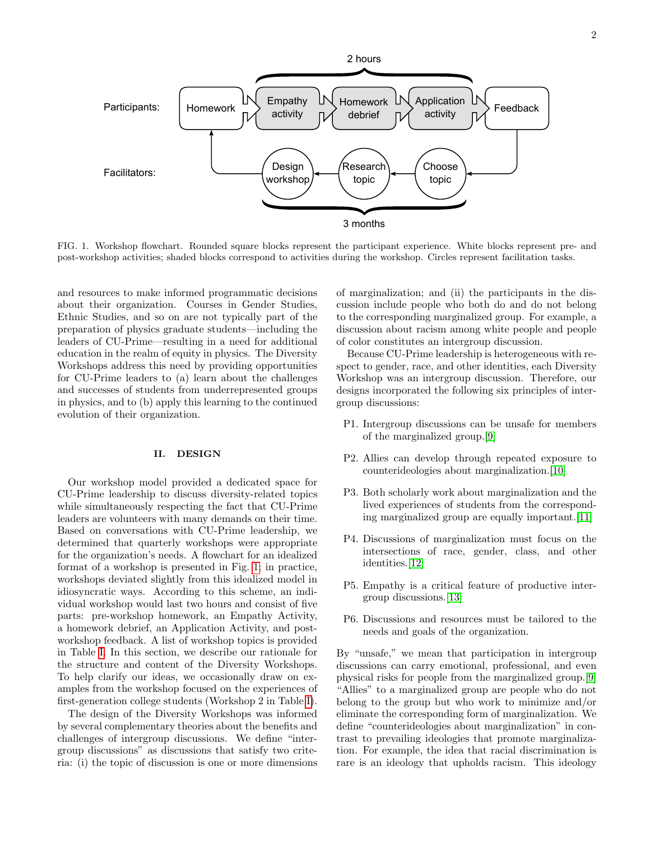

<span id="page-1-0"></span>FIG. 1. Workshop flowchart. Rounded square blocks represent the participant experience. White blocks represent pre- and post-workshop activities; shaded blocks correspond to activities during the workshop. Circles represent facilitation tasks.

and resources to make informed programmatic decisions about their organization. Courses in Gender Studies, Ethnic Studies, and so on are not typically part of the preparation of physics graduate students—including the leaders of CU-Prime—resulting in a need for additional education in the realm of equity in physics. The Diversity Workshops address this need by providing opportunities for CU-Prime leaders to (a) learn about the challenges and successes of students from underrepresented groups in physics, and to (b) apply this learning to the continued evolution of their organization.

## II. DESIGN

Our workshop model provided a dedicated space for CU-Prime leadership to discuss diversity-related topics while simultaneously respecting the fact that CU-Prime leaders are volunteers with many demands on their time. Based on conversations with CU-Prime leadership, we determined that quarterly workshops were appropriate for the organization's needs. A flowchart for an idealized format of a workshop is presented in Fig. [1;](#page-1-0) in practice, workshops deviated slightly from this idealized model in idiosyncratic ways. According to this scheme, an individual workshop would last two hours and consist of five parts: pre-workshop homework, an Empathy Activity, a homework debrief, an Application Activity, and postworkshop feedback. A list of workshop topics is provided in Table [I.](#page-2-0) In this section, we describe our rationale for the structure and content of the Diversity Workshops. To help clarify our ideas, we occasionally draw on examples from the workshop focused on the experiences of first-generation college students (Workshop 2 in Table [I\)](#page-2-0).

The design of the Diversity Workshops was informed by several complementary theories about the benefits and challenges of intergroup discussions. We define "intergroup discussions" as discussions that satisfy two criteria: (i) the topic of discussion is one or more dimensions of marginalization; and (ii) the participants in the discussion include people who both do and do not belong to the corresponding marginalized group. For example, a discussion about racism among white people and people of color constitutes an intergroup discussion.

Because CU-Prime leadership is heterogeneous with respect to gender, race, and other identities, each Diversity Workshop was an intergroup discussion. Therefore, our designs incorporated the following six principles of intergroup discussions:

- P1. Intergroup discussions can be unsafe for members of the marginalized group.[\[9\]](#page-5-1)
- P2. Allies can develop through repeated exposure to counterideologies about marginalization.[\[10\]](#page-5-2)
- P3. Both scholarly work about marginalization and the lived experiences of students from the corresponding marginalized group are equally important.[\[11\]](#page-5-3)
- P4. Discussions of marginalization must focus on the intersections of race, gender, class, and other identities.[\[12\]](#page-5-4)
- P5. Empathy is a critical feature of productive intergroup discussions.[\[13\]](#page-5-5)
- P6. Discussions and resources must be tailored to the needs and goals of the organization.

By "unsafe," we mean that participation in intergroup discussions can carry emotional, professional, and even physical risks for people from the marginalized group.[\[9\]](#page-5-1) "Allies" to a marginalized group are people who do not belong to the group but who work to minimize and/or eliminate the corresponding form of marginalization. We define "counterideologies about marginalization" in contrast to prevailing ideologies that promote marginalization. For example, the idea that racial discrimination is rare is an ideology that upholds racism. This ideology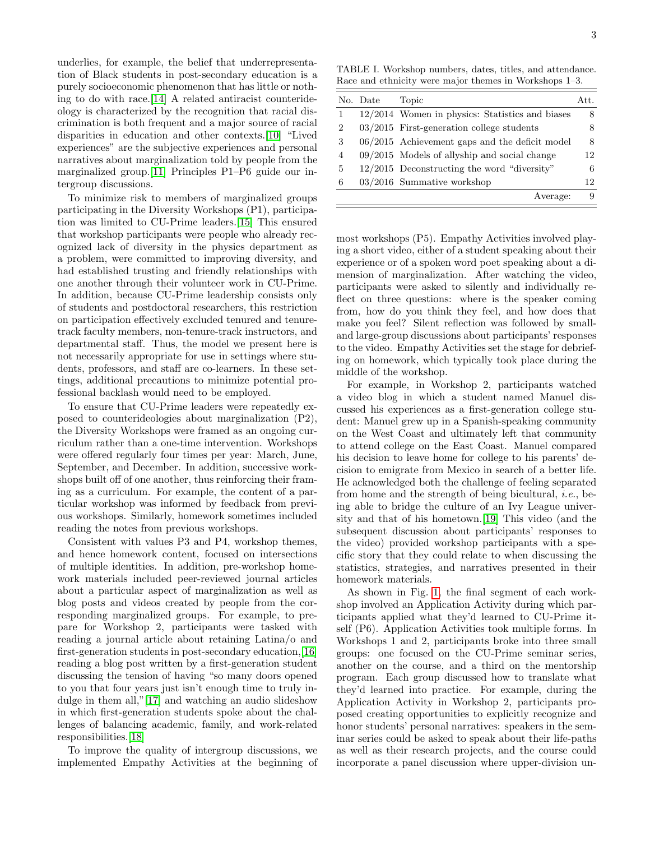underlies, for example, the belief that underrepresentation of Black students in post-secondary education is a purely socioeconomic phenomenon that has little or nothing to do with race.[\[14\]](#page-5-6) A related antiracist counterideology is characterized by the recognition that racial discrimination is both frequent and a major source of racial disparities in education and other contexts.[\[10\]](#page-5-2) "Lived experiences" are the subjective experiences and personal narratives about marginalization told by people from the marginalized group.[\[11\]](#page-5-3) Principles P1–P6 guide our intergroup discussions.

To minimize risk to members of marginalized groups participating in the Diversity Workshops (P1), participation was limited to CU-Prime leaders.[\[15\]](#page-5-7) This ensured that workshop participants were people who already recognized lack of diversity in the physics department as a problem, were committed to improving diversity, and had established trusting and friendly relationships with one another through their volunteer work in CU-Prime. In addition, because CU-Prime leadership consists only of students and postdoctoral researchers, this restriction on participation effectively excluded tenured and tenuretrack faculty members, non-tenure-track instructors, and departmental staff. Thus, the model we present here is not necessarily appropriate for use in settings where students, professors, and staff are co-learners. In these settings, additional precautions to minimize potential professional backlash would need to be employed.

To ensure that CU-Prime leaders were repeatedly exposed to counterideologies about marginalization (P2), the Diversity Workshops were framed as an ongoing curriculum rather than a one-time intervention. Workshops were offered regularly four times per year: March, June, September, and December. In addition, successive workshops built off of one another, thus reinforcing their framing as a curriculum. For example, the content of a particular workshop was informed by feedback from previous workshops. Similarly, homework sometimes included reading the notes from previous workshops.

Consistent with values P3 and P4, workshop themes, and hence homework content, focused on intersections of multiple identities. In addition, pre-workshop homework materials included peer-reviewed journal articles about a particular aspect of marginalization as well as blog posts and videos created by people from the corresponding marginalized groups. For example, to prepare for Workshop 2, participants were tasked with reading a journal article about retaining Latina/o and first-generation students in post-secondary education,[\[16\]](#page-5-8) reading a blog post written by a first-generation student discussing the tension of having "so many doors opened to you that four years just isn't enough time to truly indulge in them all,"[\[17\]](#page-5-9) and watching an audio slideshow in which first-generation students spoke about the challenges of balancing academic, family, and work-related responsibilities.[\[18\]](#page-5-10)

To improve the quality of intergroup discussions, we implemented Empathy Activities at the beginning of

<span id="page-2-0"></span>TABLE I. Workshop numbers, dates, titles, and attendance. Race and ethnicity were major themes in Workshops 1–3.

|                | No. Date | Topic                                             | Att. |
|----------------|----------|---------------------------------------------------|------|
|                |          | $12/2014$ Women in physics: Statistics and biases | 8    |
| $\overline{2}$ |          | $03/2015$ First-generation college students       | 8    |
| 3              |          | $06/2015$ Achievement gaps and the deficit model  | 8    |
| 4              |          | $09/2015$ Models of allyship and social change    | 12   |
| 5              |          | $12/2015$ Deconstructing the word "diversity"     | 6    |
| 6              |          | $03/2016$ Summative workshop                      | 12   |
|                |          | Average:                                          | 9    |

most workshops (P5). Empathy Activities involved playing a short video, either of a student speaking about their experience or of a spoken word poet speaking about a dimension of marginalization. After watching the video, participants were asked to silently and individually reflect on three questions: where is the speaker coming from, how do you think they feel, and how does that make you feel? Silent reflection was followed by smalland large-group discussions about participants' responses to the video. Empathy Activities set the stage for debriefing on homework, which typically took place during the middle of the workshop.

For example, in Workshop 2, participants watched a video blog in which a student named Manuel discussed his experiences as a first-generation college student: Manuel grew up in a Spanish-speaking community on the West Coast and ultimately left that community to attend college on the East Coast. Manuel compared his decision to leave home for college to his parents' decision to emigrate from Mexico in search of a better life. He acknowledged both the challenge of feeling separated from home and the strength of being bicultural, i.e., being able to bridge the culture of an Ivy League university and that of his hometown.[\[19\]](#page-5-11) This video (and the subsequent discussion about participants' responses to the video) provided workshop participants with a specific story that they could relate to when discussing the statistics, strategies, and narratives presented in their homework materials.

As shown in Fig. [1,](#page-1-0) the final segment of each workshop involved an Application Activity during which participants applied what they'd learned to CU-Prime itself (P6). Application Activities took multiple forms. In Workshops 1 and 2, participants broke into three small groups: one focused on the CU-Prime seminar series, another on the course, and a third on the mentorship program. Each group discussed how to translate what they'd learned into practice. For example, during the Application Activity in Workshop 2, participants proposed creating opportunities to explicitly recognize and honor students' personal narratives: speakers in the seminar series could be asked to speak about their life-paths as well as their research projects, and the course could incorporate a panel discussion where upper-division un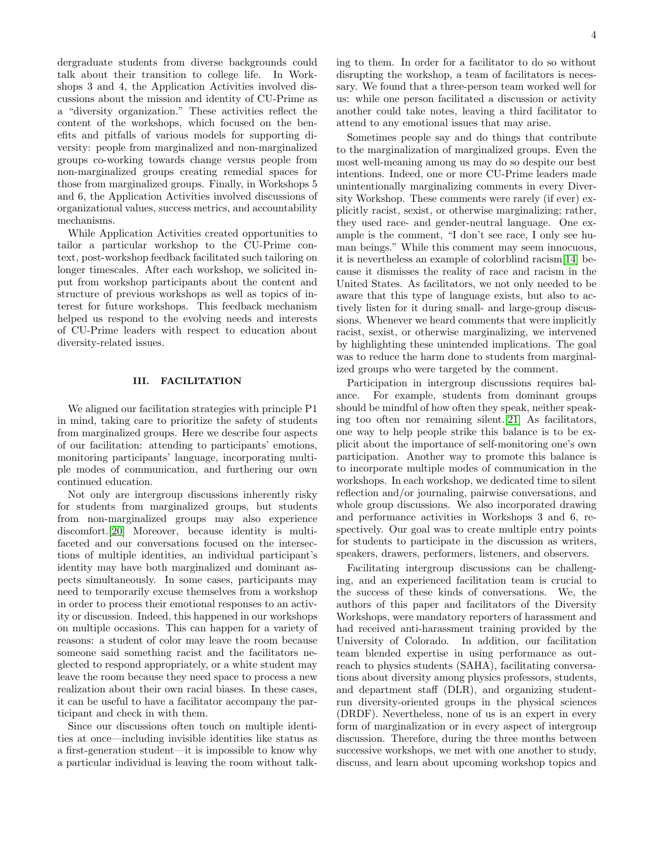dergraduate students from diverse backgrounds could talk about their transition to college life. In Workshops 3 and 4, the Application Activities involved discussions about the mission and identity of CU-Prime as a "diversity organization." These activities reflect the content of the workshops, which focused on the benefits and pitfalls of various models for supporting diversity: people from marginalized and non-marginalized groups co-working towards change versus people from non-marginalized groups creating remedial spaces for those from marginalized groups. Finally, in Workshops 5 and 6, the Application Activities involved discussions of organizational values, success metrics, and accountability mechanisms.

While Application Activities created opportunities to tailor a particular workshop to the CU-Prime context, post-workshop feedback facilitated such tailoring on longer timescales. After each workshop, we solicited input from workshop participants about the content and structure of previous workshops as well as topics of interest for future workshops. This feedback mechanism helped us respond to the evolving needs and interests of CU-Prime leaders with respect to education about diversity-related issues.

#### III. FACILITATION

We aligned our facilitation strategies with principle P1 in mind, taking care to prioritize the safety of students from marginalized groups. Here we describe four aspects of our facilitation: attending to participants' emotions, monitoring participants' language, incorporating multiple modes of communication, and furthering our own continued education.

Not only are intergroup discussions inherently risky for students from marginalized groups, but students from non-marginalized groups may also experience discomfort.[\[20\]](#page-5-12) Moreover, because identity is multifaceted and our conversations focused on the intersections of multiple identities, an individual participant's identity may have both marginalized and dominant aspects simultaneously. In some cases, participants may need to temporarily excuse themselves from a workshop in order to process their emotional responses to an activity or discussion. Indeed, this happened in our workshops on multiple occasions. This can happen for a variety of reasons: a student of color may leave the room because someone said something racist and the facilitators neglected to respond appropriately, or a white student may leave the room because they need space to process a new realization about their own racial biases. In these cases, it can be useful to have a facilitator accompany the participant and check in with them.

Since our discussions often touch on multiple identities at once—including invisible identities like status as a first-generation student—it is impossible to know why a particular individual is leaving the room without talking to them. In order for a facilitator to do so without disrupting the workshop, a team of facilitators is necessary. We found that a three-person team worked well for us: while one person facilitated a discussion or activity another could take notes, leaving a third facilitator to attend to any emotional issues that may arise.

Sometimes people say and do things that contribute to the marginalization of marginalized groups. Even the most well-meaning among us may do so despite our best intentions. Indeed, one or more CU-Prime leaders made unintentionally marginalizing comments in every Diversity Workshop. These comments were rarely (if ever) explicitly racist, sexist, or otherwise marginalizing; rather, they used race- and gender-neutral language. One example is the comment, "I don't see race, I only see human beings." While this comment may seem innocuous, it is nevertheless an example of colorblind racism[\[14\]](#page-5-6) because it dismisses the reality of race and racism in the United States. As facilitators, we not only needed to be aware that this type of language exists, but also to actively listen for it during small- and large-group discussions. Whenever we heard comments that were implicitly racist, sexist, or otherwise marginalizing, we intervened by highlighting these unintended implications. The goal was to reduce the harm done to students from marginalized groups who were targeted by the comment.

Participation in intergroup discussions requires balance. For example, students from dominant groups should be mindful of how often they speak, neither speaking too often nor remaining silent.[\[21\]](#page-5-13) As facilitators, one way to help people strike this balance is to be explicit about the importance of self-monitoring one's own participation. Another way to promote this balance is to incorporate multiple modes of communication in the workshops. In each workshop, we dedicated time to silent reflection and/or journaling, pairwise conversations, and whole group discussions. We also incorporated drawing and performance activities in Workshops 3 and 6, respectively. Our goal was to create multiple entry points for students to participate in the discussion as writers, speakers, drawers, performers, listeners, and observers.

Facilitating intergroup discussions can be challenging, and an experienced facilitation team is crucial to the success of these kinds of conversations. We, the authors of this paper and facilitators of the Diversity Workshops, were mandatory reporters of harassment and had received anti-harassment training provided by the University of Colorado. In addition, our facilitation team blended expertise in using performance as outreach to physics students (SAHA), facilitating conversations about diversity among physics professors, students, and department staff (DLR), and organizing studentrun diversity-oriented groups in the physical sciences (DRDF). Nevertheless, none of us is an expert in every form of marginalization or in every aspect of intergroup discussion. Therefore, during the three months between successive workshops, we met with one another to study, discuss, and learn about upcoming workshop topics and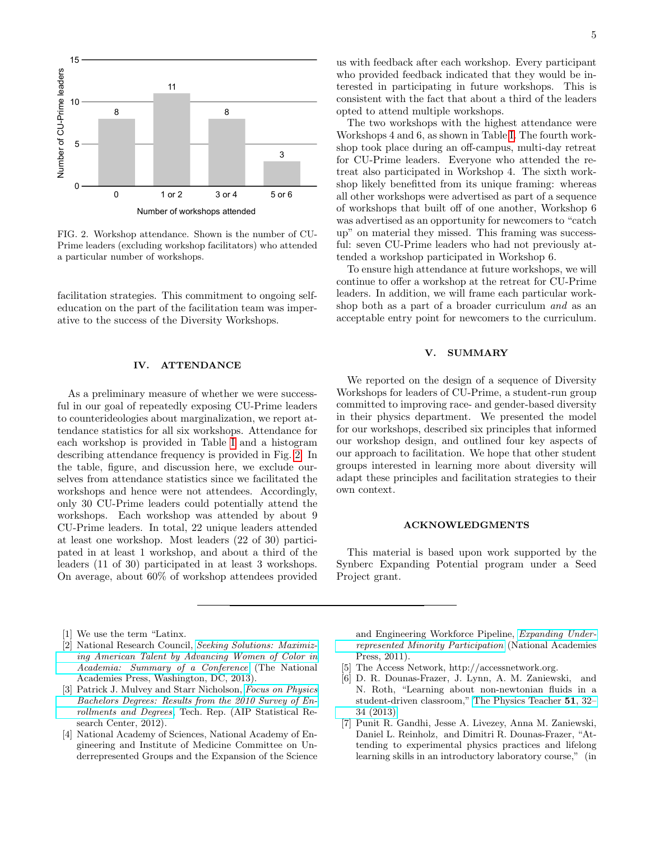

<span id="page-4-7"></span>FIG. 2. Workshop attendance. Shown is the number of CU-Prime leaders (excluding workshop facilitators) who attended a particular number of workshops.

facilitation strategies. This commitment to ongoing selfeducation on the part of the facilitation team was imperative to the success of the Diversity Workshops.

#### IV. ATTENDANCE

As a preliminary measure of whether we were successful in our goal of repeatedly exposing CU-Prime leaders to counterideologies about marginalization, we report attendance statistics for all six workshops. Attendance for each workshop is provided in Table [I](#page-2-0) and a histogram describing attendance frequency is provided in Fig. [2.](#page-4-7) In the table, figure, and discussion here, we exclude ourselves from attendance statistics since we facilitated the workshops and hence were not attendees. Accordingly, only 30 CU-Prime leaders could potentially attend the workshops. Each workshop was attended by about 9 CU-Prime leaders. In total, 22 unique leaders attended at least one workshop. Most leaders (22 of 30) participated in at least 1 workshop, and about a third of the leaders (11 of 30) participated in at least 3 workshops. On average, about 60% of workshop attendees provided

- <span id="page-4-0"></span>[1] We use the term "Latinx.
- <span id="page-4-1"></span>[2] National Research Council, [Seeking Solutions: Maximiz](http://dx.doi.org/10.17226/18556)[ing American Talent by Advancing Women of Color in](http://dx.doi.org/10.17226/18556) [Academia: Summary of a Conference](http://dx.doi.org/10.17226/18556) (The National Academies Press, Washington, DC, 2013).
- <span id="page-4-4"></span>[3] Patrick J. Mulvey and Starr Nicholson, [Focus on Physics](https://www.aip.org/statistics/reports/physics-bachelor) [Bachelors Degrees: Results from the 2010 Survey of En](https://www.aip.org/statistics/reports/physics-bachelor)[rollments and Degrees](https://www.aip.org/statistics/reports/physics-bachelor), Tech. Rep. (AIP Statistical Research Center, 2012).
- <span id="page-4-2"></span>[4] National Academy of Sciences, National Academy of Engineering and Institute of Medicine Committee on Underrepresented Groups and the Expansion of the Science

us with feedback after each workshop. Every participant who provided feedback indicated that they would be interested in participating in future workshops. This is consistent with the fact that about a third of the leaders opted to attend multiple workshops.

The two workshops with the highest attendance were Workshops 4 and 6, as shown in Table [I.](#page-2-0) The fourth workshop took place during an off-campus, multi-day retreat for CU-Prime leaders. Everyone who attended the retreat also participated in Workshop 4. The sixth workshop likely benefitted from its unique framing: whereas all other workshops were advertised as part of a sequence of workshops that built off of one another, Workshop 6 was advertised as an opportunity for newcomers to "catch up" on material they missed. This framing was successful: seven CU-Prime leaders who had not previously attended a workshop participated in Workshop 6.

To ensure high attendance at future workshops, we will continue to offer a workshop at the retreat for CU-Prime leaders. In addition, we will frame each particular workshop both as a part of a broader curriculum and as an acceptable entry point for newcomers to the curriculum.

#### V. SUMMARY

We reported on the design of a sequence of Diversity Workshops for leaders of CU-Prime, a student-run group committed to improving race- and gender-based diversity in their physics department. We presented the model for our workshops, described six principles that informed our workshop design, and outlined four key aspects of our approach to facilitation. We hope that other student groups interested in learning more about diversity will adapt these principles and facilitation strategies to their own context.

#### ACKNOWLEDGMENTS

This material is based upon work supported by the Synberc Expanding Potential program under a Seed Project grant.

and Engineering Workforce Pipeline, [Expanding Under](http://dx.doi.org/10.17226/12984)[represented Minority Participation](http://dx.doi.org/10.17226/12984) (National Academies Press, 2011).

- <span id="page-4-3"></span>[5] The Access Network, http://accessnetwork.org.
- <span id="page-4-5"></span>[6] D. R. Dounas-Frazer, J. Lynn, A. M. Zaniewski, and N. Roth, "Learning about non-newtonian fluids in a student-driven classroom," [The Physics Teacher](http://dx.doi.org/10.1119/1.4772035) 51, 32– [34 \(2013\).](http://dx.doi.org/10.1119/1.4772035)
- <span id="page-4-6"></span>[7] Punit R. Gandhi, Jesse A. Livezey, Anna M. Zaniewski, Daniel L. Reinholz, and Dimitri R. Dounas-Frazer, "Attending to experimental physics practices and lifelong learning skills in an introductory laboratory course," (in